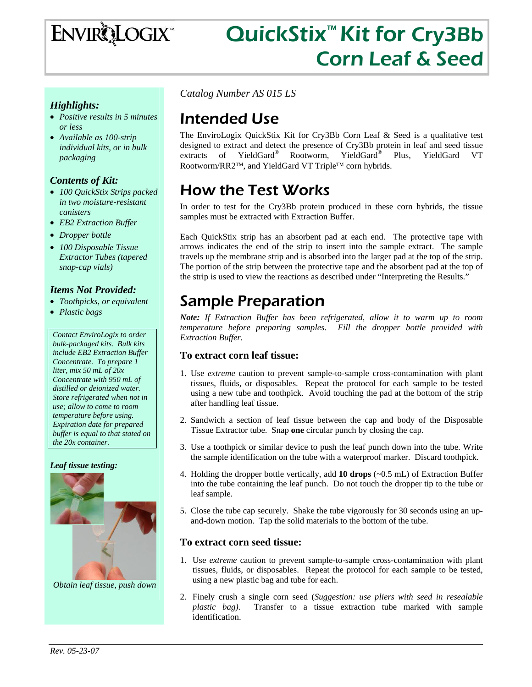

# QuickStix<sup>™</sup> Kit for Cry3Bb Corn Leaf & Seed

#### *Highlights:*

- *Positive results in 5 minutes or less*
- *Available as 100-strip individual kits, or in bulk packaging*

#### *Contents of Kit:*

- *100 QuickStix Strips packed in two moisture-resistant canisters*
- *EB2 Extraction Buffer*
- *Dropper bottle*
- *100 Disposable Tissue Extractor Tubes (tapered snap-cap vials)*

#### *Items Not Provided:*

- *Toothpicks, or equivalent*
- *Plastic bags*

*Contact EnviroLogix to order bulk-packaged kits. Bulk kits include EB2 Extraction Buffer Concentrate. To prepare 1 liter, mix 50 mL of 20x Concentrate with 950 mL of distilled or deionized water. Store refrigerated when not in use; allow to come to room temperature before using. Expiration date for prepared buffer is equal to that stated on the 20x container.* 

#### *Leaf tissue testing:*



*Obtain leaf tissue, push down* 

*Catalog Number AS 015 LS*

### Intended Use

The EnviroLogix QuickStix Kit for Cry3Bb Corn Leaf & Seed is a qualitative test designed to extract and detect the presence of Cry3Bb protein in leaf and seed tissue extracts of YieldGard® Rootworm, YieldGard® Plus, YieldGard VT Rootworm/RR2™, and YieldGard VT Triple™ corn hybrids.

# How the Test Works

In order to test for the Cry3Bb protein produced in these corn hybrids, the tissue samples must be extracted with Extraction Buffer.

Each QuickStix strip has an absorbent pad at each end. The protective tape with arrows indicates the end of the strip to insert into the sample extract. The sample travels up the membrane strip and is absorbed into the larger pad at the top of the strip. The portion of the strip between the protective tape and the absorbent pad at the top of the strip is used to view the reactions as described under "Interpreting the Results."

### Sample Preparation

*Note: If Extraction Buffer has been refrigerated, allow it to warm up to room temperature before preparing samples. Fill the dropper bottle provided with Extraction Buffer.* 

#### **To extract corn leaf tissue:**

- 1. Use *extreme* caution to prevent sample-to-sample cross-contamination with plant tissues, fluids, or disposables. Repeat the protocol for each sample to be tested using a new tube and toothpick. Avoid touching the pad at the bottom of the strip after handling leaf tissue.
- 2. Sandwich a section of leaf tissue between the cap and body of the Disposable Tissue Extractor tube. Snap **one** circular punch by closing the cap.
- 3. Use a toothpick or similar device to push the leaf punch down into the tube. Write the sample identification on the tube with a waterproof marker. Discard toothpick.
- 4. Holding the dropper bottle vertically, add **10 drops** (~0.5 mL) of Extraction Buffer into the tube containing the leaf punch. Do not touch the dropper tip to the tube or leaf sample.
- 5. Close the tube cap securely. Shake the tube vigorously for 30 seconds using an upand-down motion. Tap the solid materials to the bottom of the tube.

#### **To extract corn seed tissue:**

- 1. Use *extreme* caution to prevent sample-to-sample cross-contamination with plant tissues, fluids, or disposables. Repeat the protocol for each sample to be tested, using a new plastic bag and tube for each.
- 2. Finely crush a single corn seed (*Suggestion: use pliers with seed in resealable plastic bag)*. Transfer to a tissue extraction tube marked with sample identification.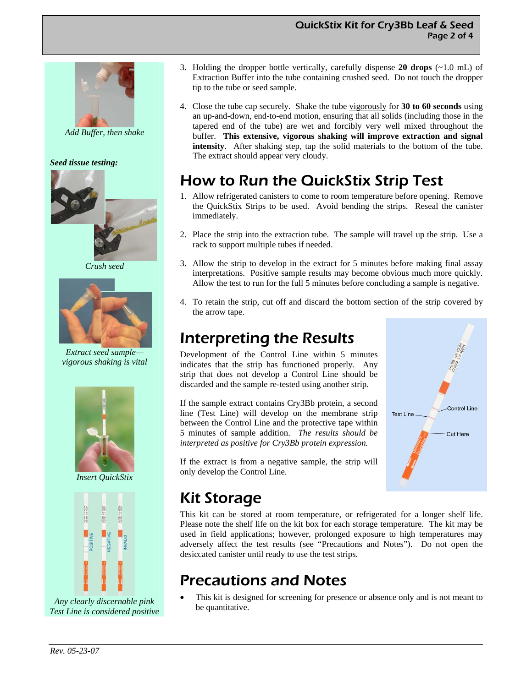#### QuickStix Kit for Cry3Bb Leaf & Seed Page 2 of 4



*Add Buffer, then shake* 

*Seed tissue testing:* 



 *Crush seed* 



*Extract seed sample vigorous shaking is vital* 



*Insert QuickStix* 



*Any clearly discernable pink Test Line is considered positive* 

- 3. Holding the dropper bottle vertically, carefully dispense **20 drops** (~1.0 mL) of Extraction Buffer into the tube containing crushed seed. Do not touch the dropper tip to the tube or seed sample.
- 4. Close the tube cap securely. Shake the tube vigorously for **30 to 60 seconds** using an up-and-down, end-to-end motion, ensuring that all solids (including those in the tapered end of the tube) are wet and forcibly very well mixed throughout the buffer. **This extensive, vigorous shaking will improve extraction and signal intensity**. After shaking step, tap the solid materials to the bottom of the tube. The extract should appear very cloudy.

# How to Run the QuickStix Strip Test

- 1. Allow refrigerated canisters to come to room temperature before opening. Remove the QuickStix Strips to be used. Avoid bending the strips. Reseal the canister immediately.
- 2. Place the strip into the extraction tube. The sample will travel up the strip. Use a rack to support multiple tubes if needed.
- 3. Allow the strip to develop in the extract for 5 minutes before making final assay interpretations. Positive sample results may become obvious much more quickly. Allow the test to run for the full 5 minutes before concluding a sample is negative.
- 4. To retain the strip, cut off and discard the bottom section of the strip covered by the arrow tape.

### Interpreting the Results

Development of the Control Line within 5 minutes indicates that the strip has functioned properly. Any strip that does not develop a Control Line should be discarded and the sample re-tested using another strip.

If the sample extract contains Cry3Bb protein, a second line (Test Line) will develop on the membrane strip between the Control Line and the protective tape within 5 minutes of sample addition. *The results should be interpreted as positive for Cry3Bb protein expression.* 

If the extract is from a negative sample, the strip will only develop the Control Line.



# Kit Storage

This kit can be stored at room temperature, or refrigerated for a longer shelf life. Please note the shelf life on the kit box for each storage temperature. The kit may be used in field applications; however, prolonged exposure to high temperatures may adversely affect the test results (see "Precautions and Notes"). Do not open the desiccated canister until ready to use the test strips.

# Precautions and Notes

This kit is designed for screening for presence or absence only and is not meant to be quantitative.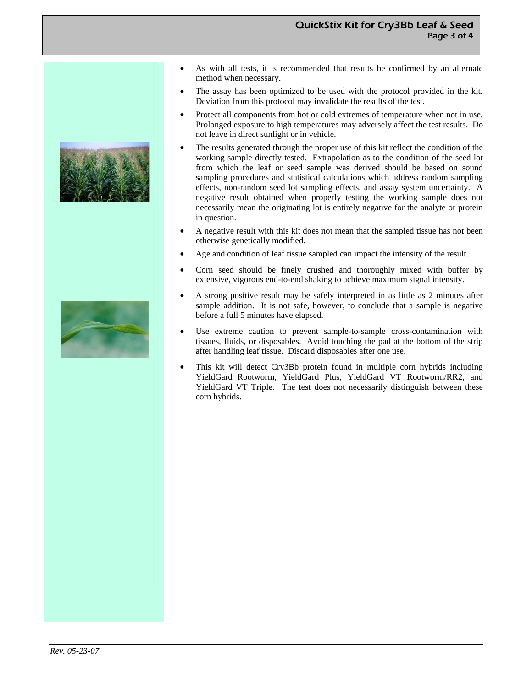#### QuickStix Kit for Cry3Bb Leaf & Seed Page 3 of 4



- As with all tests, it is recommended that results be confirmed by an alternate method when necessary.
- The assay has been optimized to be used with the protocol provided in the kit. Deviation from this protocol may invalidate the results of the test.
- Protect all components from hot or cold extremes of temperature when not in use. Prolonged exposure to high temperatures may adversely affect the test results. Do not leave in direct sunlight or in vehicle.
- The results generated through the proper use of this kit reflect the condition of the working sample directly tested. Extrapolation as to the condition of the seed lot from which the leaf or seed sample was derived should be based on sound sampling procedures and statistical calculations which address random sampling effects, non-random seed lot sampling effects, and assay system uncertainty. A negative result obtained when properly testing the working sample does not necessarily mean the originating lot is entirely negative for the analyte or protein in question.
- A negative result with this kit does not mean that the sampled tissue has not been otherwise genetically modified.
- Age and condition of leaf tissue sampled can impact the intensity of the result.
- Corn seed should be finely crushed and thoroughly mixed with buffer by extensive, vigorous end-to-end shaking to achieve maximum signal intensity.
- A strong positive result may be safely interpreted in as little as 2 minutes after sample addition. It is not safe, however, to conclude that a sample is negative before a full 5 minutes have elapsed.
- Use extreme caution to prevent sample-to-sample cross-contamination with tissues, fluids, or disposables. Avoid touching the pad at the bottom of the strip after handling leaf tissue. Discard disposables after one use.
- This kit will detect Cry3Bb protein found in multiple corn hybrids including YieldGard Rootworm, YieldGard Plus, YieldGard VT Rootworm/RR2, and YieldGard VT Triple. The test does not necessarily distinguish between these corn hybrids.